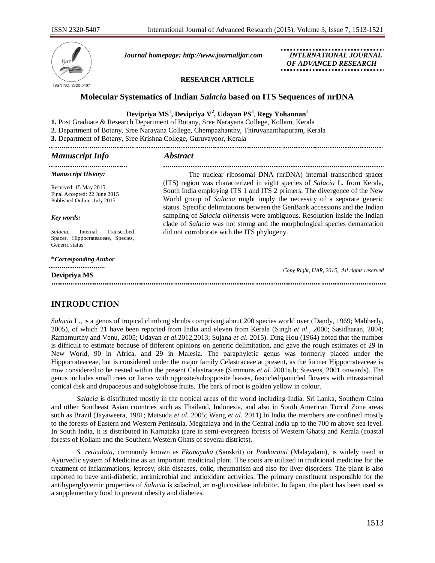

*Journal homepage: [http://www.journalijar.com](http://www.journalijar.com/) INTERNATIONAL JOURNAL*

 *OF ADVANCED RESEARCH*

## **RESEARCH ARTICLE**

# **Molecular Systematics of Indian** *Salacia* **based on ITS Sequences of nrDNA**

# **Devipriya MS** 1 **, Devipriya V<sup>2</sup> , Udayan PS** 3 , **Regy Yohannan**<sup>1</sup>

**1.** Post Graduate & Research Department of Botany, Sree Narayana College, Kollam, Kerala

**2**. Department of Botany, Sree Narayana College, Chempazhanthy, Thiruvananthapuram, Kerala

**3.** Department of Botany, Sree Krishna College, Guruvayoor, Kerala

### *Manuscript Info Abstract*

| <b>Manuscript History:</b>                                                                 | The nuclear ribosomal DNA (nrDNA) internal transcribed spacer                                                                                                                                                                                                                                                                  |
|--------------------------------------------------------------------------------------------|--------------------------------------------------------------------------------------------------------------------------------------------------------------------------------------------------------------------------------------------------------------------------------------------------------------------------------|
| Received: 15 May 2015<br>Final Accepted: 22 June 2015<br>Published Online: July 2015       | (ITS) region was characterized in eight species of <i>Salacia</i> L. from Kerala,<br>South India employing ITS 1 and ITS 2 primers. The divergence of the New<br>World group of <i>Salacia</i> might imply the necessity of a separate generic<br>status. Specific delimitations between the GenBank accessions and the Indian |
| Key words:                                                                                 | sampling of <i>Salacia chinensis</i> were ambiguous. Resolution inside the Indian<br>clade of Salacia was not strong and the morphological species demarcation                                                                                                                                                                 |
| Salacia.<br>Transcribed<br>Internal<br>Spacer, Hippocrateaceae, Species,<br>Generic status | did not corroborate with the ITS phylogeny.                                                                                                                                                                                                                                                                                    |
| <i>*Corresponding Author</i>                                                               |                                                                                                                                                                                                                                                                                                                                |
| <br>Devipriya MS                                                                           | Copy Right, IJAR, 2015, All rights reserved                                                                                                                                                                                                                                                                                    |
|                                                                                            |                                                                                                                                                                                                                                                                                                                                |

# **INTRODUCTION**

*Salacia* L., is a genus of tropical climbing shrubs comprising about 200 species world over (Dandy, 1969; Mabberly, 2005), of which 21 have been reported from India and eleven from Kerala (Singh *et al.*, 2000; Sasidharan, 2004; Ramamurthy and Venu, 2005; Udayan *et al.*2012,2013; Sujana *et al.* 2015). Ding Hou (1964) noted that the number is difficult to estimate because of different opinions on generic delimitation, and gave the rough estimates of 29 in New World, 90 in Africa, and 29 in Malesia. The paraphyletic genus was formerly placed under the Hippocrateaceae, but is considered under the major family Celastraceae at present, as the former Hippocrateaceae is now considered to be nested within the present Celastraceae (Simmons *et al.* 2001a,b; Stevens, 2001 onwards). The genus includes small trees or lianas with opposite/subopposite leaves, fascicled/panicled flowers with intrastaminal conical disk and drupaceous and subglobose fruits. The bark of root is golden yellow in colour.

*Salacia* is distributed mostly in the tropical areas of the world including India, Sri Lanka, Southern China and other Southeast Asian countries such as Thailand, Indonesia, and also in South American Torrid Zone areas such as Brazil (Jayaweera, 1981; Matsuda *et al.* 2005; Wang *et al.* 2011).In India the members are confined mostly to the forests of Eastern and Western Peninsula, Meghalaya and in the Central India up to the 700 m above sea level. In South India, it is distributed in Karnataka (rare in semi-evergreen forests of Western Ghats) and Kerala (coastal forests of Kollam and the Southern Western Ghats of several districts).

*S. reticulata*, commonly known as *Ekanayaka* (Sanskrit) or *Ponkoranti* (Malayalam), is widely used in Ayurvedic system of Medicine as an important medicinal plant. The roots are utilized in traditional medicine for the treatment of inflammations, leprosy, skin diseases, colic, rheumatism and also for liver disorders. The plant is also reported to have anti-diabetic, antimicrobial and antioxidant activities. The primary constituent responsible for the antihyperglycemic properties of *Salacia* is salacinol, an α-glucosidase inhibitor*.* In Japan, the plant has been used as a supplementary food to prevent obesity and diabetes.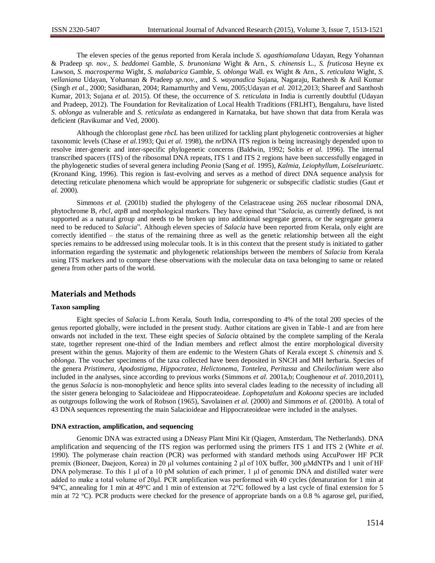The eleven species of the genus reported from Kerala include *S. agasthiamalana* Udayan, Regy Yohannan & Pradeep *sp. nov., S. beddomei* Gamble, *S. brunoniana* Wight & Arn., *S. chinensis* L., *S. fruticosa* Heyne ex Lawson, *S. macrosperma* Wight, *S. malabarica* Gamble, *S. oblonga* Wall. ex Wight & Arn., *S. reticulata* Wight, *S. vellaniana* Udayan, Yohannan & Pradeep *sp.nov.*, and *S. wayanadica* Sujana, Nagaraju, Ratheesh & Anil Kumar (Singh *et al.*, 2000; Sasidharan, 2004; Ramamurthy and Venu, 2005;Udayan *et al.* 2012,2013; Shareef and Santhosh Kumar, 2013; Sujana *et al.* 2015). Of these, the occurrence of *S. reticulata* in India is currently doubtful (Udayan and Pradeep, 2012). The Foundation for Revitalization of Local Health Traditions (FRLHT), Bengaluru, have listed *S. oblonga* as vulnerable and *S. reticulata* as endangered in Karnataka, but have shown that data from Kerala was deficient (Ravikumar and Ved, 2000).

Although the chloroplast gene *rbcL* has been utilized for tackling plant phylogenetic controversies at higher taxonomic levels (Chase *et al.*1993; Qui *et al.* 1998), the *nr*DNA ITS region is being increasingly depended upon to resolve inter-generic and inter-specific phylogenetic concerns (Baldwin, 1992; Soltis *et al.* 1996). The internal transcribed spacers (ITS) of the ribosomal DNA repeats, ITS 1 and ITS 2 regions have been successfully engaged in the phylogenetic studies of several genera including *Peonia* (Sang *et al.* 1995), *Kalmia, Leiophyllum, Loiseleuria*etc. (Kronand King, 1996). This region is fast-evolving and serves as a method of direct DNA sequence analysis for detecting reticulate phenomena which would be appropriate for subgeneric or subspecific cladistic studies (Gaut *et al.* 2000).

Simmons *et al.* (2001b) studied the phylogeny of the Celastraceae using 26S nuclear ribosomal DNA, phytochrome B, *rbcl, atpB* and morphological markers. They have opined that "*Salacia,* as currently defined, is not supported as a natural group and needs to be broken up into additional segregate genera, or the segregate genera need to be reduced to *Salacia*"*.* Although eleven species of *Salacia* have been reported from Kerala, only eight are correctly identified – the status of the remaining three as well as the genetic relationship between all the eight species remains to be addressed using molecular tools. It is in this context that the present study is initiated to gather information regarding the systematic and phylogenetic relationships between the members of *Salacia* from Kerala using ITS markers and to compare these observations with the molecular data on taxa belonging to same or related genera from other parts of the world.

# **Materials and Methods**

### **Taxon sampling**

Eight species of *Salacia* L.from Kerala, South India, corresponding to 4% of the total 200 species of the genus reported globally, were included in the present study. Author citations are given in Table-1 and are from here onwards not included in the text. These eight species of *Salacia* obtained by the complete sampling of the Kerala state, together represent one-third of the Indian members and reflect almost the entire morphological diversity present within the genus. Majority of them are endemic to the Western Ghats of Kerala except *S. chinensis* and *S. oblonga*. The voucher specimens of the taxa collected have been deposited in SNCH and MH herbaria. Species of the genera *Pristimera, Apodostigma, Hippocratea, Helictonema, Tontelea, Peritassa* and *Cheiloclinium* were also included in the analyses, since according to previous works (Simmons *et al.* 2001a,b; Coughenour *et al*. 2010,2011), the genus *Salacia* is non-monophyletic and hence splits into several clades leading to the necessity of including all the sister genera belonging to Salacioideae and Hippocrateoideae. *Lophopetalum* and *Kokoona* species are included as outgroups following the work of Robson (1965), Savolainen *et al.* (2000) and Simmons *et al.* (2001b). A total of 43 DNA sequences representing the main Salacioideae and Hippocrateoideae were included in the analyses.

## **DNA extraction, amplification, and sequencing**

Genomic DNA was extracted using a DNeasy Plant Mini Kit (Qiagen, Amsterdam, The Netherlands). DNA amplification and sequencing of the ITS region was performed using the primers ITS 1 and ITS 2 (White *et al.* 1990). The polymerase chain reaction (PCR) was performed with standard methods using AccuPower HF PCR premix (Bioneer, Daejeon, Korea) in 20 μl volumes containing 2 μl of 10X buffer, 300 μMdNTPs and 1 unit of HF DNA polymerase. To this 1 μl of a 10 pM solution of each primer, 1 μl of genomic DNA and distilled water were added to make a total volume of 20μl. PCR amplification was performed with 40 cycles (denaturation for 1 min at 94°C, annealing for 1 min at 49°C and 1 min of extension at 72°C followed by a last cycle of final extension for 5 min at 72 °C). PCR products were checked for the presence of appropriate bands on a 0.8 % agarose gel, purified,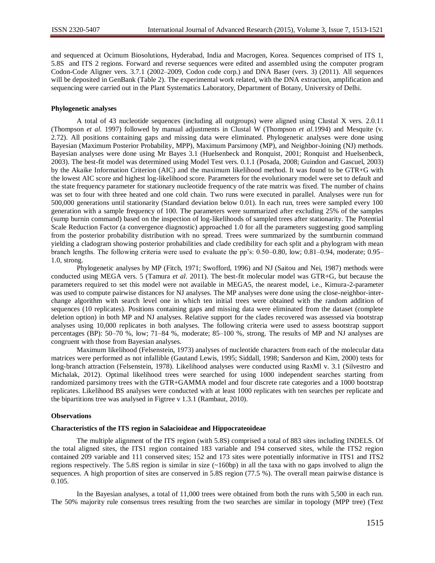and sequenced at Ocimum Biosolutions, Hyderabad, India and Macrogen, Korea. Sequences comprised of ITS 1, 5.8S and ITS 2 regions. Forward and reverse sequences were edited and assembled using the computer program Codon-Code Aligner vers. 3.7.1 (2002–2009, Codon code corp.) and DNA Baser (vers. 3) (2011). All sequences will be deposited in GenBank (Table 2). The experimental work related, with the DNA extraction, amplification and sequencing were carried out in the Plant Systematics Laboratory, Department of Botany, University of Delhi.

#### **Phylogenetic analyses**

A total of 43 nucleotide sequences (including all outgroups) were aligned using Clustal X vers. 2.0.11 (Thompson *et al.* 1997) followed by manual adjustments in Clustal W (Thompson *et al.*1994) and Mesquite (v. 2.72). All positions containing gaps and missing data were eliminated. Phylogenetic analyses were done using Bayesian (Maximum Posterior Probability, MPP), Maximum Parsimony (MP), and Neighbor-Joining (NJ) methods. Bayesian analyses were done using Mr Bayes 3.1 (Huelsenbeck and Ronquist, 2001; Ronquist and Huelsenbeck, 2003). The best-fit model was determined using Model Test vers. 0.1.1 (Posada, 2008; Guindon and Gascuel, 2003) by the Akaike Information Criterion (AIC) and the maximum likelihood method. It was found to be GTR+G with the lowest AIC score and highest log-likelihood score. Parameters for the evolutionary model were set to default and the state frequency parameter for stationary nucleotide frequency of the rate matrix was fixed. The number of chains was set to four with three heated and one cold chain. Two runs were executed in parallel. Analyses were run for 500,000 generations until stationarity (Standard deviation below 0.01). In each run, trees were sampled every 100 generation with a sample frequency of 100. The parameters were summarized after excluding 25% of the samples (sump burnin command) based on the inspection of log-likelihoods of sampled trees after stationarity. The Potential Scale Reduction Factor (a convergence diagnostic) approached 1.0 for all the parameters suggesting good sampling from the posterior probability distribution with no spread. Trees were summarized by the sumtburnin command yielding a cladogram showing posterior probabilities and clade credibility for each split and a phylogram with mean branch lengths. The following criteria were used to evaluate the pp's: 0.50–0.80, low; 0.81–0.94, moderate; 0.95– 1.0, strong.

Phylogenetic analyses by MP (Fitch, 1971; Swofford, 1996) and NJ (Saitou and Nei, 1987) methods were conducted using MEGA vers. 5 (Tamura *et al*. 2011). The best-fit molecular model was GTR+G, but because the parameters required to set this model were not available in MEGA5, the nearest model, i.e., Kimura-2-parameter was used to compute pairwise distances for NJ analyses. The MP analyses were done using the close-neighbor-interchange algorithm with search level one in which ten initial trees were obtained with the random addition of sequences (10 replicates). Positions containing gaps and missing data were eliminated from the dataset (complete deletion option) in both MP and NJ analyses. Relative support for the clades recovered was assessed via bootstrap analyses using 10,000 replicates in both analyses. The following criteria were used to assess bootstrap support percentages (BP): 50–70 %, low; 71–84 %, moderate; 85–100 %, strong. The results of MP and NJ analyses are congruent with those from Bayesian analyses.

Maximum likelihood (Felsenstein, 1973) analyses of nucleotide characters from each of the molecular data matrices were performed as not infallible (Gautand Lewis, 1995; Siddall, 1998; Sanderson and Kim, 2000) tests for long-branch attraction (Felsenstein, 1978). Likelihood analyses were conducted using RaxMl v. 3.1 (Silvestro and Michalak, 2012). Optimal likelihood trees were searched for using 1000 independent searches starting from randomized parsimony trees with the GTR+GAMMA model and four discrete rate categories and a 1000 bootstrap replicates. Likelihood BS analyses were conducted with at least 1000 replicates with ten searches per replicate and the bipartitions tree was analysed in Figtree v 1.3.1 (Rambaut, 2010).

#### **Observations**

#### **Characteristics of the ITS region in Salacioideae and Hippocrateoideae**

The multiple alignment of the ITS region (with 5.8S) comprised a total of 883 sites including INDELS. Of the total aligned sites, the ITS1 region contained 183 variable and 194 conserved sites, while the ITS2 region contained 209 variable and 111 conserved sites; 152 and 173 sites were potentially informative in ITS1 and ITS2 regions respectively. The 5.8S region is similar in size  $(\sim 160bp)$  in all the taxa with no gaps involved to align the sequences. A high proportion of sites are conserved in 5.8S region (77.5 %). The overall mean pairwise distance is 0.105.

In the Bayesian analyses, a total of 11,000 trees were obtained from both the runs with 5,500 in each run. The 50% majority rule consensus trees resulting from the two searches are similar in topology (MPP tree) (Text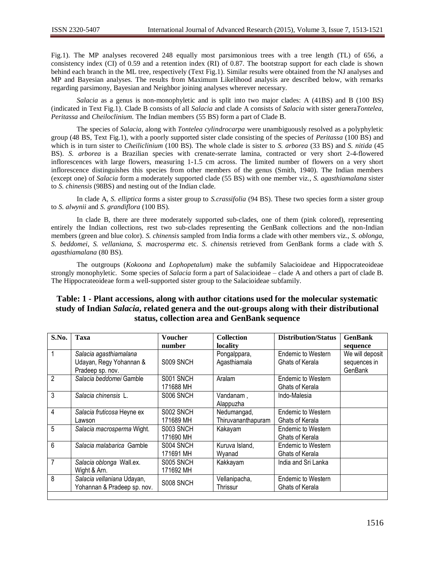Fig.1). The MP analyses recovered 248 equally most parsimonious trees with a tree length (TL) of 656, a consistency index (CI) of 0.59 and a retention index (RI) of 0.87. The bootstrap support for each clade is shown behind each branch in the ML tree, respectively (Text Fig.1). Similar results were obtained from the NJ analyses and MP and Bayesian analyses. The results from Maximum Likelihood analysis are described below, with remarks regarding parsimony, Bayesian and Neighbor joining analyses wherever necessary.

*Salacia* as a genus is non-monophyletic and is split into two major clades: A (41BS) and B (100 BS) (indicated in Text Fig.1). Clade B consists of all *Salacia* and clade A consists of *Salacia* with sister genera*Tontelea*, *Peritassa* and *Cheiloclinium*. The Indian members (55 BS) form a part of Clade B.

The species of *Salacia,* along with *Tontelea cylindrocarpa* were unambiguously resolved as a polyphyletic group (48 BS, Text Fig.1), with a poorly supported sister clade consisting of the species of *Peritassa* (100 BS) and which is in turn sister to *Cheiliclinium* (100 BS). The whole clade is sister to *S. arborea* (33 BS) and *S. nitida* (45 BS). *S. arborea* is a Brazilian species with crenate-serrate lamina, contracted or very short 2-4-flowered inflorescences with large flowers, measuring 1-1.5 cm across. The limited number of flowers on a very short inflorescence distinguishes this species from other members of the genus (Smith, 1940). The Indian members (except one) of *Salacia* form a moderately supported clade (55 BS) with one member viz., *S. agasthiamalana* sister to *S. chinensis* (98BS) and nesting out of the Indian clade.

In clade A, *S. elliptica* forms a sister group to *S.crassifolia* (94 BS). These two species form a sister group to *S. alwynii* and *S. grandiflora* (100 BS).

In clade B, there are three moderately supported sub-clades, one of them (pink colored), representing entirely the Indian collections, rest two sub-clades representing the GenBank collections and the non-Indian members (green and blue color). *S. chinensis* sampled from India forms a clade with other members viz., *S. oblonga*, *S. beddomei*, *S. vellaniana*, *S. macrosperma* etc. *S. chinensis* retrieved from GenBank forms a clade with *S. agasthiamalana* (80 BS).

The outgroups (*Kokoona* and *Lophopetalum*) make the subfamily Salacioideae and Hippocrateoideae strongly monophyletic. Some species of *Salacia* form a part of Salacioideae – clade A and others a part of clade B. The Hippocrateoideae form a well-supported sister group to the Salacioideae subfamily.

# **Table: 1 - Plant accessions, along with author citations used for the molecular systematic study of Indian** *Salacia***, related genera and the out-groups along with their distributional status, collection area and GenBank sequence**

| S.No.          | Taxa                        | <b>Voucher</b> | <b>Collection</b>  | <b>Distribution/Status</b> | <b>GenBank</b>  |
|----------------|-----------------------------|----------------|--------------------|----------------------------|-----------------|
|                |                             | number         | locality           |                            | sequence        |
| 1              | Salacia agasthiamalana      |                | Pongalppara,       | Endemic to Western         | We will deposit |
|                | Udayan, Regy Yohannan &     | S009 SNCH      | Agasthiamala       | Ghats of Kerala            | sequences in    |
|                | Pradeep sp. nov.            |                |                    |                            | GenBank         |
| $\mathfrak{p}$ | Salacia beddomei Gamble     | S001 SNCH      | Aralam             | <b>Endemic to Western</b>  |                 |
|                |                             | 171688 MH      |                    | Ghats of Kerala            |                 |
| 3              | Salacia chinensis L.        | S006 SNCH      | Vandanam,          | Indo-Malesia               |                 |
|                |                             |                | Alappuzha          |                            |                 |
| 4              | Salacia fruticosa Heyne ex  | S002 SNCH      | Nedumangad,        | <b>Endemic to Western</b>  |                 |
|                | _awson                      | 171689 MH      | Thiruvananthapuram | Ghats of Kerala            |                 |
| 5              | Salacia macrosperma Wight.  | S003 SNCH      | Kakayam            | <b>Endemic to Western</b>  |                 |
|                |                             | 171690 MH      |                    | Ghats of Kerala            |                 |
| 6              | Salacia malabarica Gamble   | S004 SNCH      | Kuruva Island,     | <b>Endemic to Western</b>  |                 |
|                |                             | 171691 MH      | Wyanad             | Ghats of Kerala            |                 |
| 7              | Salacia oblonga Wall.ex.    | S005 SNCH      | Kakkayam           | India and Sri Lanka        |                 |
|                | Wight & Arn.                | 171692 MH      |                    |                            |                 |
| 8              | Salacia vellaniana Udayan,  |                | Vellanipacha,      | <b>Endemic to Western</b>  |                 |
|                | Yohannan & Pradeep sp. nov. | S008 SNCH      | Thrissur           | Ghats of Kerala            |                 |
|                |                             |                |                    |                            |                 |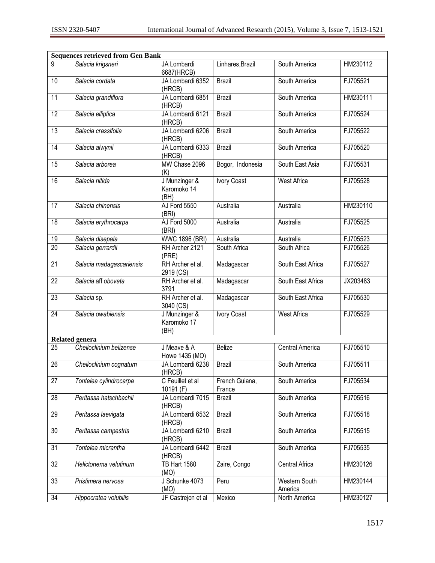| <b>Sequences retrieved from Gen Bank</b> |                          |                                      |                          |                          |          |
|------------------------------------------|--------------------------|--------------------------------------|--------------------------|--------------------------|----------|
| 9                                        | Salacia krigsneri        | JA Lombardi<br>6687(HRCB)            | Linhares, Brazil         | South America            | HM230112 |
| 10                                       | Salacia cordata          | JA Lombardi 6352<br>(HRCB)           | <b>Brazil</b>            | South America            | FJ705521 |
| 11                                       | Salacia grandiflora      | JA Lombardi 6851<br>(HRCB)           | <b>Brazil</b>            | South America            | HM230111 |
| $\overline{12}$                          | Salacia elliptica        | JA Lombardi 6121<br>(HRCB)           | <b>Brazil</b>            | South America            | FJ705524 |
| $\overline{13}$                          | Salacia crassifolia      | JA Lombardi 6206<br>(HRCB)           | <b>Brazil</b>            | South America            | FJ705522 |
| 14                                       | Salacia alwynii          | JA Lombardi 6333<br>(HRCB)           | <b>Brazil</b>            | South America            | FJ705520 |
| 15                                       | Salacia arborea          | MW Chase 2096<br>(K)                 | Bogor, Indonesia         | South East Asia          | FJ705531 |
| 16                                       | Salacia nitida           | J Munzinger &<br>Karomoko 14<br>(BH) | <b>Ivory Coast</b>       | <b>West Africa</b>       | FJ705528 |
| 17                                       | Salacia chinensis        | AJ Ford 5550<br>(BRI)                | Australia                | Australia                | HM230110 |
| 18                                       | Salacia erythrocarpa     | AJ Ford 5000<br>(BRI)                | Australia                | Australia                | FJ705525 |
| 19                                       | Salacia disepala         | <b>WWC 1896 (BRI)</b>                | Australia                | Australia                | FJ705523 |
| $\overline{20}$                          | Salacia gerrardii        | RH Archer 2121<br>(PRE)              | South Africa             | South Africa             | FJ705526 |
| $\overline{21}$                          | Salacia madagascariensis | RH Archer et al.<br>2919 (CS)        | Madagascar               | South East Africa        | FJ705527 |
| $\overline{22}$                          | Salacia aff obovata      | RH Archer et al.<br>3791             | Madagascar               | South East Africa        | JX203483 |
| 23                                       | Salacia sp.              | RH Archer et al.<br>3040 (CS)        | Madagascar               | South East Africa        | FJ705530 |
| $\overline{24}$                          | Salacia owabiensis       | J Munzinger &<br>Karomoko 17<br>(BH) | <b>Ivory Coast</b>       | <b>West Africa</b>       | FJ705529 |
|                                          | <b>Related genera</b>    |                                      |                          |                          |          |
| 25                                       | Cheiloclinium belizense  | J Meave & A<br>Howe 1435 (MO)        | <b>Belize</b>            | <b>Central America</b>   | FJ705510 |
| $\overline{26}$                          | Cheiloclinium cognatum   | JA Lombardi 6238<br>(HRCB)           | <b>Brazil</b>            | South America            | FJ705511 |
| 27                                       | Tontelea cylindrocarpa   | C Feuillet et al<br>10191 (F)        | French Guiana,<br>France | South America            | FJ705534 |
| 28                                       | Peritassa hatschbachii   | JA Lombardi 7015<br>(HRCB)           | Brazil                   | South America            | FJ705516 |
| 29                                       | Peritassa laevigata      | JA Lombardi 6532<br>(HRCB)           | <b>Brazil</b>            | South America            | FJ705518 |
| 30                                       | Peritassa campestris     | JA Lombardi 6210<br>(HRCB)           | <b>Brazil</b>            | South America            | FJ705515 |
| 31                                       | Tontelea micrantha       | JA Lombardi 6442<br>(HRCB)           | <b>Brazil</b>            | South America            | FJ705535 |
| 32                                       | Helictonema velutinum    | <b>TB Hart 1580</b><br>(MO)          | Zaire, Congo             | Central Africa           | HM230126 |
| 33                                       | Pristimera nervosa       | J Schunke 4073<br>(MO)               | Peru                     | Western South<br>America | HM230144 |
| 34                                       | Hippocratea volubilis    | JF Castrejon et al                   | Mexico                   | North America            | HM230127 |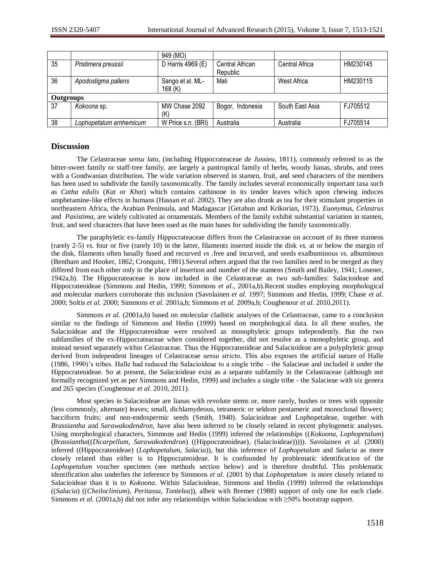|                  |                         | 949 (MO)           |                  |                 |          |  |
|------------------|-------------------------|--------------------|------------------|-----------------|----------|--|
| 35               | Pristimera preussii     | D Harris 4969 (E)  | Central African  | Central Africa  | HM230145 |  |
|                  |                         |                    | Republic         |                 |          |  |
| 36               | Apodostigma pallens     | Sango et al. ML-   | Mali             | West Africa     | HM230115 |  |
|                  |                         | 168 (K)            |                  |                 |          |  |
| <b>Outgroups</b> |                         |                    |                  |                 |          |  |
| 37               | Kokoona sp.             | MW Chase 2092      | Bogor, Indonesia | South East Asia | FJ705512 |  |
|                  |                         | (K)                |                  |                 |          |  |
| 38               | Lophopetalum arnhemicum | W Price s.n. (BRI) | Australia        | Australia       | FJ705514 |  |

# **Discussion**

The Celastraceae *sensu lato*, (including Hippocrateaceae *de Jussieu,* 1811), commonly referred to as the bitter-sweet family or staff-tree family, are largely a pantropical family of herbs, woody lianas, shrubs, and trees with a Gondwanian distribution. The wide variation observed in stamen, fruit, and seed characters of the members has been used to subdivide the family taxonomically. The family includes several economically important taxa such as *Catha edulis* (*Kat* or *Khat*) which contains cathinone in its tender leaves which upon chewing induces amphetamine-like effects in humans (Hassan *et al.* 2002). They are also drunk as tea for their stimulant properties in northeastern Africa, the Arabian Peninsula, and Madagascar (Getahun and Krikorian, 1973). *Euonymus, Celastrus* and *Paxistima,* are widely cultivated as ornamentals. Members of the family exhibit substantial variation in stamen, fruit, and seed characters that have been used as the main bases for subdividing the family taxonomically.

The paraphyletic ex-family Hippocrateaceae differs from the Celastraceae on account of its three stamens (rarely 2-5) *vs.* four or five (rarely 10) in the latter, filaments inserted inside the disk *vs.* at or below the margin of the disk, filaments often basally fused and recurved *vs .*free and incurved, and seeds exalbuminous *vs.* albuminous (Bentham and Hooker, 1862; Cronquist, 1981).Several others argued that the two families need to be merged as they differed from each other only in the place of insertion and number of the stamens (Smith and Bailey, 1941; Losener, 1942a,b). The Hippocrateaceae is now included in the Celastraceae as two sub-families: Salacioideae and Hippocrateoideae (Simmons and Hedin, 1999; Simmons *et al*., 2001a,b).Recent studies employing morphological and molecular markers corroborate this inclusion (Savolainen *et al.* 1997; Simmons and Hedin, 1999; Chase *et al.* 2000; Soltis *et al.* 2000; Simmons *et al.* 2001a,b; Simmons *et al.* 2009a,b; Coughenour *et al*. 2010,2011).

Simmons *et al.* (2001a,b) based on molecular cladistic analyses of the Celastraceae*,* came to a conclusion similar to the findings of Simmons and Hedin (1999) based on morphological data. In all these studies, the Salacioideae and the Hippocrateoideae were resolved as monophyletic groups independently. But the two subfamilies of the ex-Hippocrateaceae when considered together, did not resolve as a monophyletic group, and instead nested separately within Celastraceae. Thus the Hippocrateoideae and Salacioideae are a polyphyletic group derived from independent lineages of Celastraceae *sensu stricto*. This also exposes the artificial nature of Halle (1986, 1990)'s tribes. Halle had reduced the Salacioideae to a single tribe – the Salacieae and included it under the Hippocrateoideae. So at present, the Salacioideae exist as a separate subfamily in the Celastraceae (although not formally recognized yet as per Simmons and Hedin, 1999) and includes a single tribe - the Salacieae with six genera and 265 species (Coughenour *et al.* 2010, 2011).

Most species in Salacioideae are lianas with revolute stems or, more rarely, bushes or trees with opposite (less commonly, alternate) leaves; small, dichlamydeous, tetrameric or seldom pentameric and monoclonal flowers; bacciform fruits; and non-endospermic seeds (Smith, 1940). Salacioideae and Lophopetaleae, together with *Brassiantha* and *Sarawakodendron*, have also been inferred to be closely related in recent phylogenetic analyses. Using morphological characters, Simmons and Hedin (1999) inferred the relationships ((*Kokoona, Lophopetalum*) (*Brassiantha*((*Dicarpellum, Sarawakodendron*) ((Hippocrateoideae), (Salacioideae))))). Savolainen *et al.* (2000) inferred ((Hippocrateoideae) (*Lophopetalum, Salacia*)), but this inference of *Lophopetalum* and *Salacia* as more closely related than either is to Hippocrateoideae. It is confounded by problematic identification of the *Lophopetalum* voucher specimen (see methods section below) and is therefore doubtful. This problematic identification also underlies the inference by Simmons *et al.* (2001 b) that *Lophopetalum* is more closely related to Salacioideae than it is to *Kokoona*. Within Salacioideae, Simmons and Hedin (1999) inferred the relationships ((*Salacia*) ((*Cheiloclinium*), *Peritassa, Tontelea*)), albeit with Bremer (1988) support of only one for each clade. Simmons *et al.* (2001a,b) did not infer any relationships within Salacioideae with ≥50% bootstrap support.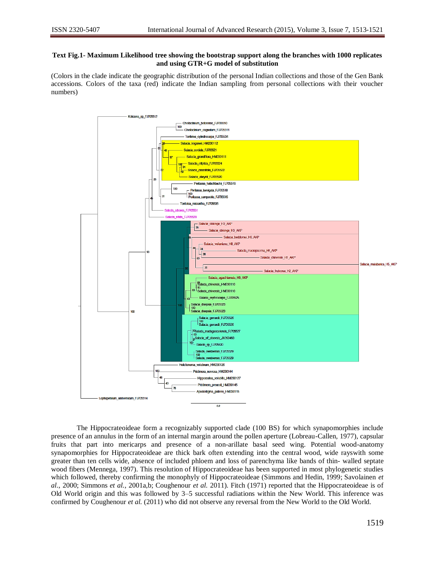## **Text Fig.1- Maximum Likelihood tree showing the bootstrap support along the branches with 1000 replicates and using GTR+G model of substitution**

(Colors in the clade indicate the geographic distribution of the personal Indian collections and those of the Gen Bank accessions. Colors of the taxa (red) indicate the Indian sampling from personal collections with their voucher numbers)



The Hippocrateoideae form a recognizably supported clade (100 BS) for which synapomorphies include presence of an annulus in the form of an internal margin around the pollen aperture (Lobreau-Callen, 1977), capsular fruits that part into mericarps and presence of a non-arillate basal seed wing. Potential wood-anatomy synapomorphies for Hippocrateoideae are thick bark often extending into the central wood, wide rayswith some greater than ten cells wide, absence of included phloem and loss of parenchyma like bands of thin- walled septate wood fibers (Mennega, 1997). This resolution of Hippocrateoideae has been supported in most phylogenetic studies which followed, thereby confirming the monophyly of Hippocrateoideae (Simmons and Hedin, 1999; Savolainen *et al*., 2000; Simmons *et al.*, 2001a,b; Coughenour *et al.* 2011). Fitch (1971) reported that the Hippocrateoideae is of Old World origin and this was followed by 3–5 successful radiations within the New World. This inference was confirmed by Coughenour *et al.* (2011) who did not observe any reversal from the New World to the Old World.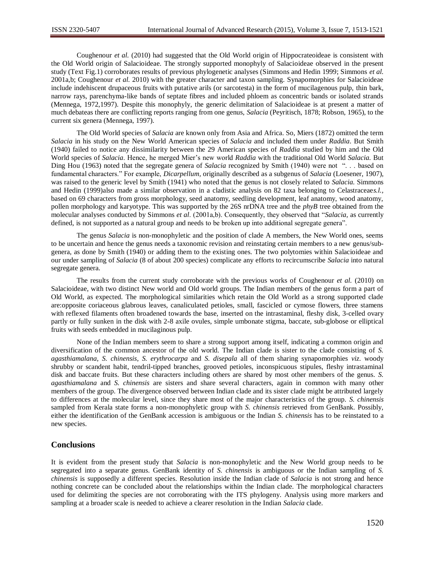Coughenour *et al.* (2010) had suggested that the Old World origin of Hippocrateoideae is consistent with the Old World origin of Salacioideae. The strongly supported monophyly of Salacioideae observed in the present study (Text Fig.1) corroborates results of previous phylogenetic analyses (Simmons and Hedin 1999; Simmons *et al.* 2001a,b; Coughenour *et al.* 2010) with the greater character and taxon sampling. Synapomorphies for Salacioideae include indehiscent drupaceous fruits with putative arils (or sarcotesta) in the form of mucilagenous pulp, thin bark, narrow rays, parenchyma-like bands of septate fibres and included phloem as concentric bands or isolated strands (Mennega, 1972,1997). Despite this monophyly, the generic delimitation of Salacioideae is at present a matter of much debateas there are conflicting reports ranging from one genus, *Salacia* (Peyritisch, 1878; Robson, 1965), to the current six genera (Mennega, 1997).

The Old World species of *Salacia* are known only from Asia and Africa. So, Miers (1872) omitted the term *Salacia* in his study on the New World American species of *Salacia* and included them under *Raddia*. But Smith (1940) failed to notice any dissimilarity between the 29 American species of *Raddia* studied by him and the Old World species of *Salacia*. Hence, he merged Mier's new world *Raddia* with the traditional Old World *Salacia.* But Ding Hou (1963) noted that the segregate genera of *Salacia* recognized by Smith (1940) were not ". . . based on fundamental characters." For example, *Dicarpellum,* originally described as a subgenus of *Salacia* (Loesener, 1907), was raised to the generic level by Smith (1941) who noted that the genus is not closely related to *Salacia.* Simmons and Hedin (1999)also made a similar observation in a cladistic analysis on 82 taxa belonging to Celastraceae*s.l.,* based on 69 characters from gross morphology, seed anatomy, seedling development, leaf anatomy, wood anatomy, pollen morphology and karyotype. This was supported by the 26S nrDNA tree and the *phyB* tree obtained from the molecular analyses conducted by Simmons *et al*. (2001a,b). Consequently, they observed that "*Salacia,* as currently defined, is not supported as a natural group and needs to be broken up into additional segregate genera".

The genus *Salacia* is non-monophyletic and the position of clade A members, the New World ones, seems to be uncertain and hence the genus needs a taxonomic revision and reinstating certain members to a new genus/subgenera, as done by Smith (1940) or adding them to the existing ones. The two polytomies within Salacioideae and our under sampling of *Salacia* (8 of about 200 species) complicate any efforts to recircumscribe *Salacia* into natural segregate genera.

The results from the current study corroborate with the previous works of Coughenour *et al.* (2010) on Salacioideae, with two distinct New world and Old world groups. The Indian members of the genus form a part of Old World, as expected. The morphological similarities which retain the Old World as a strong supported clade are:opposite coriaceous glabrous leaves, canaliculated petioles, small, fascicled or cymose flowers, three stamens with reflexed filaments often broadened towards the base, inserted on the intrastaminal, fleshy disk, 3-celled ovary partly or fully sunken in the disk with 2-8 axile ovules, simple umbonate stigma, baccate, sub-globose or elliptical fruits with seeds embedded in mucilaginous pulp.

None of the Indian members seem to share a strong support among itself, indicating a common origin and diversification of the common ancestor of the old world. The Indian clade is sister to the clade consisting of *S. agasthiamalana*, *S. chinensis*, *S. erythrocarpa* and *S. disepala* all of them sharing synapomorphies *viz*. woody shrubby or scandent habit, tendril-tipped branches, grooved petioles, inconspicuous [stipules,](http://keys.trin.org.au:8080/key-server/data/0e0f0504-0103-430d-8004-060d07080d04/media/Html/taxon/glossary.htm#Stipules) fleshy intrastaminal disk and baccate fruits. But these characters including others are shared by most other members of the genus. *S. agasthiamalana* and *S. chinensis* are sisters and share several characters, again in common with many other members of the group. The divergence observed between Indian clade and its sister clade might be attributed largely to differences at the molecular level, since they share most of the major characteristics of the group. *S. chinensis* sampled from Kerala state forms a non-monophyletic group with *S. chinensis* retrieved from GenBank. Possibly, either the identification of the GenBank accession is ambiguous or the Indian *S. chinensis* has to be reinstated to a new species.

# **Conclusions**

It is evident from the present study that *Salacia* is non-monophyletic and the New World group needs to be segregated into a separate genus. GenBank identity of *S. chinensis* is ambiguous or the Indian sampling of *S. chinensis* is supposedly a different species. Resolution inside the Indian clade of *Salacia* is not strong and hence nothing concrete can be concluded about the relationships within the Indian clade. The morphological characters used for delimiting the species are not corroborating with the ITS phylogeny. Analysis using more markers and sampling at a broader scale is needed to achieve a clearer resolution in the Indian *Salacia* clade.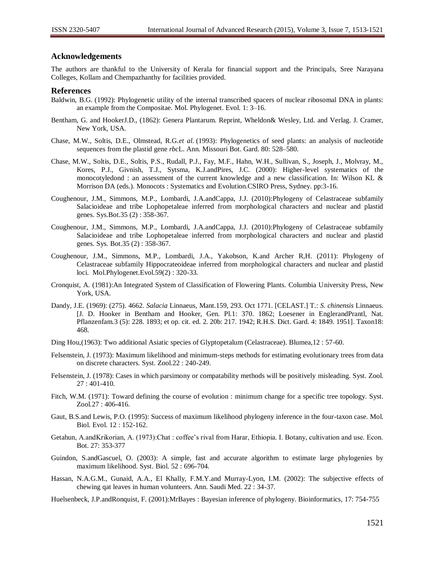# **Acknowledgements**

The authors are thankful to the University of Kerala for financial support and the Principals, Sree Narayana Colleges, Kollam and Chempazhanthy for facilities provided.

#### **References**

- Baldwin, B.G. (1992): Phylogenetic utility of the internal transcribed spacers of nuclear ribosomal DNA in plants: an example from the Compositae. Mol. Phylogenet. Evol. 1: 3–16.
- Bentham, G. and HookerJ.D., (1862): Genera Plantarum. Reprint, Wheldon& Wesley, Ltd. and Verlag. J. Cramer, New York, USA.
- Chase, M.W., Soltis, D.E., Olmstead, R.G.*et al.* (1993): Phylogenetics of seed plants: an analysis of nucleotide sequences from the plastid gene *rbc*L. Ann. Missouri Bot. Gard. 80: 528–580.
- Chase, M.W., Soltis, D.E., Soltis, P.S., Rudall, P.J., Fay, M.F., Hahn, W.H., Sullivan, S., Joseph, J., Molvray, M., Kores, P.J., Givnish, T.J., Sytsma, K.J.andPires, J.C. (2000): Higher-level systematics of the monocotyledond : an assessment of the current knowledge and a new classification. In: Wilson KL & Morrison DA (eds.). Monocots : Systematics and Evolution.CSIRO Press, Sydney. pp:3-16.
- Coughenour, J.M., Simmons, M.P., Lombardi, J.A.andCappa, J.J. (2010):Phylogeny of Celastraceae subfamily Salacioideae and tribe Lophopetaleae inferred from morphological characters and nuclear and plastid genes. Sys.Bot.35 (2) : 358-367.
- Coughenour, J.M., Simmons, M.P., Lombardi, J.A.andCappa, J.J. (2010):Phylogeny of Celastraceae subfamily Salacioideae and tribe Lophopetaleae inferred from morphological characters and nuclear and plastid genes. Sys. Bot.35 (2) : 358-367.
- Coughenour, J.M., Simmons, M.P., Lombardi, J.A., Yakobson, K.and Archer R,H. (2011): Phylogeny of Celastraceae subfamily Hippocrateoideae inferred from morphological characters and nuclear and plastid loci. Mol.Phylogenet.Evol.59(2) : 320-33.
- Cronquist, A. (1981):An Integrated System of Classification of Flowering Plants. Columbia University Press, New York, USA.
- Dandy, J.E. (1969): (275). 4662. *Salacia* Linnaeus, Mant.159, 293. Oct 1771. [CELAST.] T.: *S. chinensis* Linnaeus. [J. D. Hooker in Bentham and Hooker, Gen. Pl.1: 370. 1862; Loesener in EnglerandPrantl, Nat. Pflanzenfam*.*3 (5): 228. 1893; et op. cit*.* ed*.* 2. 20b: 217. 1942; R.H.S. Dict. Gard. 4: 1849. 1951]. Taxon18: 468.
- Ding Hou,(1963): Two additional Asiatic species of Glyptopetalum (Celastraceae). Blumea,12 : 57-60.
- Felsenstein, J. (1973): Maximum likelihood and minimum-steps methods for estimating evolutionary trees from data on discrete characters. Syst. Zool.22 : 240-249.
- Felsenstein, J. (1978): Cases in which parsimony or compatability methods will be positively misleading. Syst. Zool. 27 : 401-410.
- Fitch, W.M. (1971): Toward defining the course of evolution : minimum change for a specific tree topology. Syst. Zool*.*27 : 406-416.
- Gaut, B.S.and Lewis, P.O. (1995): Success of maximum likelihood phylogeny inference in the four-taxon case. Mol. Biol. Evol. 12 : 152-162.
- Getahun, A.andKrikorian, A. (1973):Chat : coffee's rival from Harar, Ethiopia. I. Botany, cultivation and use. Econ. Bot. 27: 353-377
- Guindon, S.andGascuel, O. (2003): A simple, fast and accurate algorithm to estimate large phylogenies by maximum likelihood. Syst. Biol. 52 : 696-704.
- Hassan, N.A.G.M., Gunaid, A.A., El Khally, F.M.Y.and Murray-Lyon, I.M. (2002): The subjective effects of chewing qat leaves in human volunteers. Ann. Saudi Med. 22 : 34-37.
- Huelsenbeck, J.P.andRonquist, F. (2001):MrBayes : Bayesian inference of phylogeny. Bioinformatics, 17: 754-755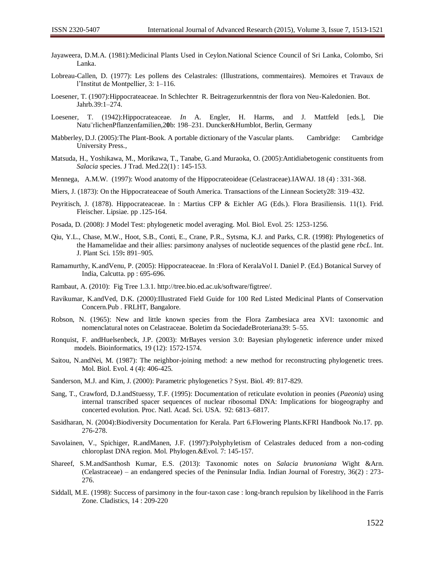- Jayaweera, D.M.A. (1981):Medicinal Plants Used in Ceylon.National Science Council of Sri Lanka, Colombo, Sri Lanka.
- Lobreau-Callen, D. (1977): Les pollens des Celastrales: (Illustrations, commentaires). Memoires et Travaux de l'Institut de Montpellier*,* 3: 1–116.
- Loesener, T. (1907):Hippocrateaceae. In Schlechter R. Beitragezurkenntnis der flora von Neu-Kaledonien. Bot. Jahrb*.*39:1–274.
- Loesener, T. (1942):Hippocrateaceae. *In* A. Engler, H. Harms, and J. Mattfeld [eds.], Die Natu¨rlichenPflanzenfamilien*,*2**0**b: 198–231. Duncker&Humblot, Berlin, Germany
- Mabberley, D.J. (2005):The Plant-Book. A portable dictionary of the Vascular plants. Cambridge: Cambridge University Press.,
- Matsuda, H., Yoshikawa, M., Morikawa, T., Tanabe, G.and Muraoka, O. (2005):Antidiabetogenic constituents from *Salacia* species. J Trad. Med.22(1) : 145-153.
- Mennega, A.M.W. (1997): Wood anatomy of the Hippocrateoideae (Celastraceae).IAWAJ. 18 (4) : 331-368.
- Miers, J. (1873): On the Hippocrateaceae of South America. Transactions of the Linnean Society28: 319–432.
- Peyritisch, J. (1878). Hippocrateaceae. In : Martius CFP & Eichler AG (Eds.). Flora Brasiliensis. 11(1). Frid. Fleischer. Lipsiae. pp .125-164.
- Posada, D. (2008): J Model Test: phylogenetic model averaging. Mol. Biol. Evol. 25: 1253-1256.
- Qiu, Y.L., Chase, M.W., Hoot, S.B., Conti, E., Crane, P.R., Sytsma, K.J. and Parks, C.R. (1998): Phylogenetics of the Hamamelidae and their allies: parsimony analyses of nucleotide sequences of the plastid gene *rbcL*. Int. J. Plant Sci. 159**:** 891–905.
- Ramamurthy, K.andVenu, P. (2005): Hippocrateaceae. In :Flora of KeralaVol I. Daniel P. (Ed.) Botanical Survey of India, Calcutta. pp : 695-696.
- Rambaut, A. (2010): Fig Tree 1.3.1. http://tree.bio.ed.ac.uk/software/figtree/.
- Ravikumar, K.andVed, D.K. (2000):Illustrated Field Guide for 100 Red Listed Medicinal Plants of Conservation Concern.Pub . FRLHT, Bangalore.
- Robson, N. (1965): New and little known species from the Flora Zambesiaca area XVI: taxonomic and nomenclatural notes on Celastraceae. Boletim da SociedadeBroteriana39: 5–55.
- Ronquist, F. andHuelsenbeck, J.P. (2003): MrBayes version 3.0: Bayesian phylogenetic inference under mixed models. Bioinformatics, 19 (12): 1572-1574.
- Saitou, N.andNei, M. (1987): The neighbor-joining method: a new method for reconstructing phylogenetic trees. Mol. Biol. Evol. 4 (4): 406-425.
- Sanderson, M.J. and Kim, J. (2000): Parametric phylogenetics ? Syst. Biol. 49: 817-829.
- Sang, T., Crawford, D.J.andStuessy, T.F. (1995): Documentation of reticulate evolution in peonies (*Paeonia*) using internal transcribed spacer sequences of nuclear ribosomal DNA: Implications for biogeography and concerted evolution. Proc. Natl. Acad. Sci. USA. 92: 6813–6817.
- Sasidharan, N. (2004):Biodiversity Documentation for Kerala. Part 6.Flowering Plants.KFRI Handbook No.17. pp. 276-278.
- Savolainen, V., Spichiger, R.andManen, J.F. (1997):Polyphyletism of Celastrales deduced from a non-coding chloroplast DNA region. Mol. Phylogen.&Evol. 7: 145-157.
- Shareef, S.M.andSanthosh Kumar, E.S. (2013): Taxonomic notes on *Salacia brunoniana* Wight &Arn. (Celastraceae) – an endangered species of the Peninsular India. Indian Journal of Forestry, 36(2) : 273- 276.
- Siddall, M.E. (1998): Success of parsimony in the four-taxon case : long-branch repulsion by likelihood in the Farris Zone. Cladistics, 14 : 209-220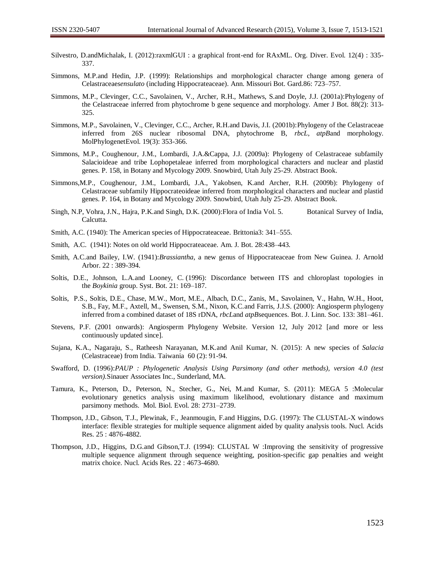- Silvestro, D.andMichalak, I. (2012):raxmlGUI : a graphical front-end for RAxML. Org. Diver. Evol. 12(4) : 335- 337.
- Simmons, M.P.and Hedin, J.P. (1999): Relationships and morphological character change among genera of Celastraceae*sensulato* (including Hippocrateaceae). Ann. Missouri Bot. Gard.86: 723–757.
- Simmons, M.P., Clevinger, C.C., Savolainen, V., Archer, R.H., Mathews, S.and Doyle, J.J. (2001a):Phylogeny of the Celastraceae inferred from phytochrome b gene sequence and morphology. Amer J Bot. 88(2): 313- 325.
- Simmons, M.P., Savolainen, V., Clevinger, C.C., Archer, R.H.and Davis, J.I. (2001b):Phylogeny of the Celastraceae inferred from 26S nuclear ribosomal DNA, phytochrome B, *rbcL*, *atpB*and morphology. MolPhylogenetEvol. 19(3): 353-366.
- Simmons, M.P., Coughenour, J.M., Lombardi, J.A.&Cappa, J.J. (2009a): Phylogeny of Celastraceae subfamily Salacioideae and tribe Lophopetaleae inferred from morphological characters and nuclear and plastid genes. P. 158, in Botany and Mycology 2009. Snowbird, Utah July 25-29. Abstract Book.
- Simmons,M.P., Coughenour, J.M., Lombardi, J.A., Yakobsen, K.and Archer, R.H. (2009b): Phylogeny of Celastraceae subfamily Hippocrateoideae inferred from morphological characters and nuclear and plastid genes. P. 164, in Botany and Mycology 2009. Snowbird, Utah July 25-29. Abstract Book.
- Singh, N.P, Vohra, J.N., Hajra, P.K.and Singh, D.K. (2000):Flora of India Vol. 5. Botanical Survey of India, Calcutta.
- Smith, A.C. (1940): The American species of Hippocrateaceae. Brittonia3: 341–555.
- Smith, A.C. (1941): Notes on old world Hippocrateaceae. Am. J. Bot. 28:438–443.
- Smith, A.C.and Bailey, I.W. (1941):*Brassiantha*, a new genus of Hippocrateaceae from New Guinea. J. Arnold Arbor. 22 : 389-394.
- Soltis, D.E., Johnson, L.A.and Looney, C. (1996): Discordance between ITS and chloroplast topologies in the *Boykinia* group. Syst. Bot. 21: 169–187.
- Soltis, P.S., Soltis, D.E., Chase, M.W., Mort, M.E., Albach, D.C., Zanis, M., Savolainen, V., Hahn, W.H., Hoot, S.B., Fay, M.F., Axtell, M., Swensen, S.M., Nixon, K.C.and Farris, J.J.S. (2000): Angiosperm phylogeny inferred from a combined dataset of 18S rDNA, *rbcL*and *atpB*sequences. Bot. J. Linn. Soc. 133: 381–461.
- Stevens, P.F. (2001 onwards): Angiosperm Phylogeny Website. Version 12, July 2012 [and more or less continuously updated since].
- Sujana, K.A., Nagaraju, S., Ratheesh Narayanan, M.K.and Anil Kumar, N. (2015): A new species of *Salacia* (Celastraceae) from India. Taiwania 60 (2): 91-94.
- Swafford, D. (1996):*PAUP : Phylogenetic Analysis Using Parsimony (and other methods), version 4.0 (test version).*Sinauer Associates Inc., Sunderland, MA.
- Tamura, K., Peterson, D., Peterson, N., Stecher, G., Nei, M.and Kumar, S. (2011): MEGA 5 :Molecular evolutionary genetics analysis using maximum likelihood, evolutionary distance and maximum parsimony methods. Mol. Biol. Evol. 28: 2731–2739.
- Thompson, J.D., Gibson, T.J., Plewinak, F., Jeanmougin, F.and Higgins, D.G. (1997): The CLUSTAL-X windows interface: flexible strategies for multiple sequence alignment aided by quality analysis tools. Nucl. Acids Res. 25 : 4876-4882.
- Thompson, J.D., Higgins, D.G.and Gibson,T.J. (1994): CLUSTAL W :Improving the sensitivity of progressive multiple sequence alignment through sequence weighting, position-specific gap penalties and weight matrix choice. Nucl. Acids Res. 22 : 4673-4680.